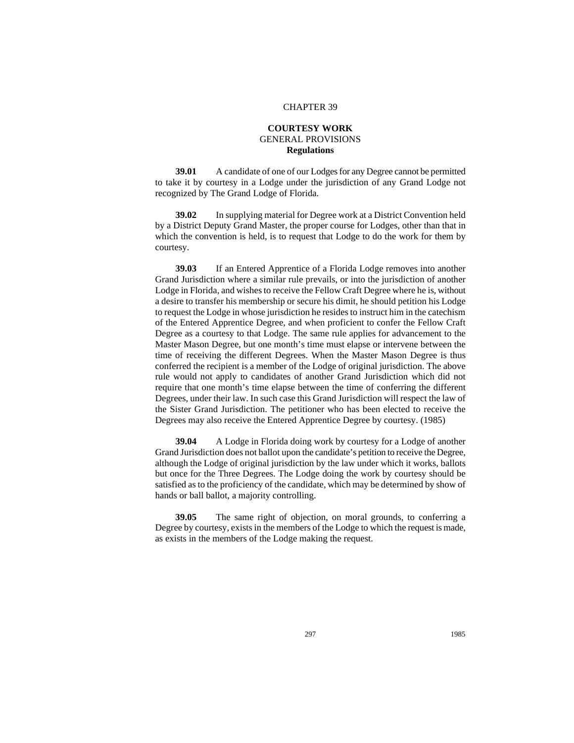## CHAPTER 39

## **COURTESY WORK** GENERAL PROVISIONS **Regulations**

**39.01** A candidate of one of our Lodges for any Degree cannot be permitted to take it by courtesy in a Lodge under the jurisdiction of any Grand Lodge not recognized by The Grand Lodge of Florida.

**39.02** In supplying material for Degree work at a District Convention held by a District Deputy Grand Master, the proper course for Lodges, other than that in which the convention is held, is to request that Lodge to do the work for them by courtesy.

**39.03** If an Entered Apprentice of a Florida Lodge removes into another Grand Jurisdiction where a similar rule prevails, or into the jurisdiction of another Lodge in Florida, and wishes to receive the Fellow Craft Degree where he is, without a desire to transfer his membership or secure his dimit, he should petition his Lodge to request the Lodge in whose jurisdiction he resides to instruct him in the catechism of the Entered Apprentice Degree, and when proficient to confer the Fellow Craft Degree as a courtesy to that Lodge. The same rule applies for advancement to the Master Mason Degree, but one month's time must elapse or intervene between the time of receiving the different Degrees. When the Master Mason Degree is thus conferred the recipient is a member of the Lodge of original jurisdiction. The above rule would not apply to candidates of another Grand Jurisdiction which did not require that one month's time elapse between the time of conferring the different Degrees, under their law. In such case this Grand Jurisdiction will respect the law of the Sister Grand Jurisdiction. The petitioner who has been elected to receive the Degrees may also receive the Entered Apprentice Degree by courtesy. (1985)

**39.04** A Lodge in Florida doing work by courtesy for a Lodge of another Grand Jurisdiction does not ballot upon the candidate's petition to receive the Degree, although the Lodge of original jurisdiction by the law under which it works, ballots but once for the Three Degrees. The Lodge doing the work by courtesy should be satisfied as to the proficiency of the candidate, which may be determined by show of hands or ball ballot, a majority controlling.

**39.05** The same right of objection, on moral grounds, to conferring a Degree by courtesy, exists in the members of the Lodge to which the request is made, as exists in the members of the Lodge making the request.